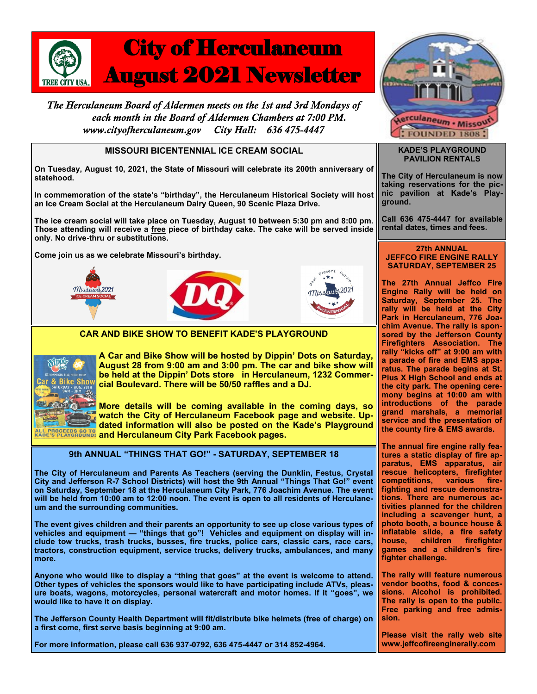

The Herculaneum Board of Aldermen meets on the 1st and 3rd Mondays of each month in the Board of Aldermen Chambers at 7:00 PM. City Hall: 636 475-4447 www.cityofherculaneum.gov

## **MISSOURI BICENTENNIAL ICE CREAM SOCIAL**

**On Tuesday, August 10, 2021, the State of Missouri will celebrate its 200th anniversary of statehood.** 

**In commemoration of the state's "birthday", the Herculaneum Historical Society will host an Ice Cream Social at the Herculaneum Dairy Queen, 90 Scenic Plaza Drive.** 

**The ice cream social will take place on Tuesday, August 10 between 5:30 pm and 8:00 pm. Those attending will receive a free piece of birthday cake. The cake will be served inside only. No drive-thru or substitutions.**

**Come join us as we celebrate Missouri's birthday.**







## **CAR AND BIKE SHOW TO BENEFIT KADE'S PLAYGROUND**



**A Car and Bike Show will be hosted by Dippin' Dots on Saturday, August 28 from 9:00 am and 3:00 pm. The car and bike show will be held at the Dippin' Dots store in Herculaneum, 1232 Commercial Boulevard. There will be 50/50 raffles and a DJ.** 

**More details will be coming available in the coming days, so watch the City of Herculaneum Facebook page and website. Updated information will also be posted on the Kade's Playground**  *GO TO and Herculaneum City Park Facebook pages.* 

**9th ANNUAL "THINGS THAT GO!" - SATURDAY, SEPTEMBER 18**

**The City of Herculaneum and Parents As Teachers (serving the Dunklin, Festus, Crystal City and Jefferson R-7 School Districts) will host the 9th Annual "Things That Go!" event on Saturday, September 18 at the Herculaneum City Park, 776 Joachim Avenue. The event will be held from 10:00 am to 12:00 noon. The event is open to all residents of Herculaneum and the surrounding communities.**

**The event gives children and their parents an opportunity to see up close various types of vehicles and equipment — "things that go"! Vehicles and equipment on display will include tow trucks, trash trucks, busses, fire trucks, police cars, classic cars, race cars, tractors, construction equipment, service trucks, delivery trucks, ambulances, and many more.**

**Anyone who would like to display a "thing that goes" at the event is welcome to attend. Other types of vehicles the sponsors would like to have participating include ATVs, pleasure boats, wagons, motorcycles, personal watercraft and motor homes. If it "goes", we would like to have it on display.**

**The Jefferson County Health Department will fit/distribute bike helmets (free of charge) on a first come, first serve basis beginning at 9:00 am.** 





#### **KADE'S PLAYGROUND PAVILION RENTALS**

**The City of Herculaneum is now taking reservations for the picnic pavilion at Kade's Playground.**

**Call 636 475-4447 for available rental dates, times and fees.** 

#### **27th ANNUAL JEFFCO FIRE ENGINE RALLY SATURDAY, SEPTEMBER 25**

**The 27th Annual Jeffco Fire Engine Rally will be held on Saturday, September 25. The rally will be held at the City Park in Herculaneum, 776 Joachim Avenue. The rally is sponsored by the Jefferson County Firefighters Association. The rally "kicks off" at 9:00 am with a parade of fire and EMS apparatus. The parade begins at St. Pius X High School and ends at the city park. The opening ceremony begins at 10:00 am with introductions of the parade grand marshals, a memorial service and the presentation of the county fire & EMS awards.**

**The annual fire engine rally features a static display of fire apparatus, EMS apparatus, air rescue helicopters, firefighter competitions, various firefighting and rescue demonstrations. There are numerous activities planned for the children including a scavenger hunt, a photo booth, a bounce house & inflatable slide, a fire safety house, children firefighter games and a children's firefighter challenge.** 

**The rally will feature numerous vendor booths, food & concessions. Alcohol is prohibited. The rally is open to the public. Free parking and free admission.** 

**Please visit the rally web site www.jeffcofireenginerally.com**